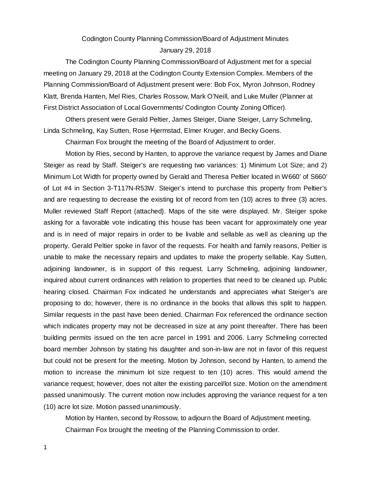# Codington County Planning Commission/Board of Adjustment Minutes January 29, 2018

The Codington County Planning Commission/Board of Adjustment met for a special meeting on January 29, 2018 at the Codington County Extension Complex. Members of the Planning Commission/Board of Adjustment present were: Bob Fox, Myron Johnson, Rodney Klatt, Brenda Hanten, Mel Ries, Charles Rossow, Mark O'Neill, and Luke Muller (Planner at First District Association of Local Governments/ Codington County Zoning Officer).

Others present were Gerald Peltier, James Steiger, Diane Steiger, Larry Schmeling, Linda Schmeling, Kay Sutten, Rose Hjermstad, Elmer Kruger, and Becky Goens.

Chairman Fox brought the meeting of the Board of Adjustment to order.

Motion by Ries, second by Hanten, to approve the variance request by James and Diane Steiger as read by Staff. Steiger's are requesting two variances: 1) Minimum Lot Size; and 2) Minimum Lot Width for property owned by Gerald and Theresa Peltier located in W660' of S660' of Lot #4 in Section 3-T117N-R53W. Steiger's intend to purchase this property from Peltier's and are requesting to decrease the existing lot of record from ten (10) acres to three (3) acres. Muller reviewed Staff Report (attached). Maps of the site were displayed. Mr. Steiger spoke asking for a favorable vote indicating this house has been vacant for approximately one year and is in need of major repairs in order to be livable and sellable as well as cleaning up the property. Gerald Peltier spoke in favor of the requests. For health and family reasons, Peltier is unable to make the necessary repairs and updates to make the property sellable. Kay Sutten, adjoining landowner, is in support of this request. Larry Schmeling, adjoining landowner, inquired about current ordinances with relation to properties that need to be cleaned up. Public hearing closed. Chairman Fox indicated he understands and appreciates what Steiger's are proposing to do; however, there is no ordinance in the books that allows this split to happen. Similar requests in the past have been denied. Chairman Fox referenced the ordinance section which indicates property may not be decreased in size at any point thereafter. There has been building permits issued on the ten acre parcel in 1991 and 2006. Larry Schmeling corrected board member Johnson by stating his daughter and son-in-law are not in favor of this request but could not be present for the meeting. Motion by Johnson, second by Hanten, to amend the motion to increase the minimum lot size request to ten (10) acres. This would amend the variance request; however, does not alter the existing parcel/lot size. Motion on the amendment passed unanimously. The current motion now includes approving the variance request for a ten (10) acre lot size. Motion passed unanimously.

Motion by Hanten, second by Rossow, to adjourn the Board of Adjustment meeting. Chairman Fox brought the meeting of the Planning Commission to order.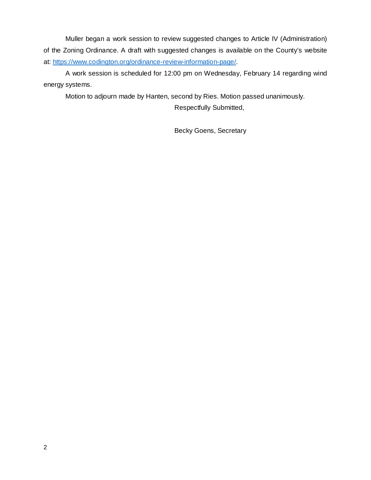Muller began a work session to review suggested changes to Article IV (Administration) of the Zoning Ordinance. A draft with suggested changes is available on the County's website at: https://www.codington.org/ordinance-review-information-page/.

A work session is scheduled for 12:00 pm on Wednesday, February 14 regarding wind energy systems.

Motion to adjourn made by Hanten, second by Ries. Motion passed unanimously.

Respectfully Submitted,

Becky Goens, Secretary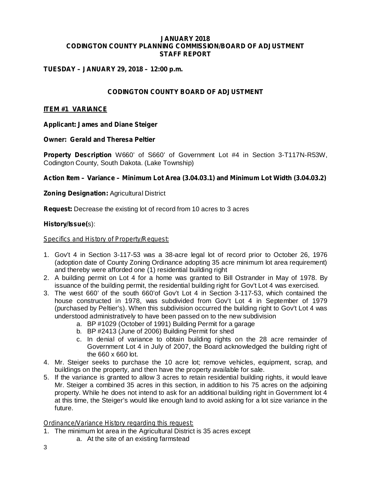#### **JANUARY 2018 CODINGTON COUNTY PLANNING COMMISSION/BOARD OF ADJUSTMENT STAFF REPORT**

### **TUESDAY – JANUARY 29, 2018 – 12:00 p.m.**

### **CODINGTON COUNTY BOARD OF ADJUSTMENT**

### **ITEM #1 VARIANCE**

**Applicant: James and Diane Steiger**

#### **Owner: Gerald and Theresa Peltier**

Property Description W660' of S660' of Government Lot #4 in Section 3-T117N-R53W, Codington County, South Dakota. (Lake Township)

### *Action Item – Variance – Minimum Lot Area (3.04.03.1) and Minimum Lot Width (3.04.03.2)*

### **Zoning Designation: Agricultural District**

Request: Decrease the existing lot of record from 10 acres to 3 acres

#### s): **History/Issue(**

#### *Specifics and History of Property/Request:*

- 1. Gov't 4 in Section 3-117-53 was a 38-acre legal lot of record prior to October 26, 1976 (adoption date of County Zoning Ordinance adopting 35 acre minimum lot area requirement) and thereby were afforded one (1) residential building right
- 2. A building permit on Lot 4 for a home was granted to Bill Ostrander in May of 1978. By issuance of the building permit, the residential building right for Gov't Lot 4 was exercised.
- 3. The west 660' of the south 660'of Gov't Lot 4 in Section 3-117-53, which contained the house constructed in 1978, was subdivided from Gov't Lot 4 in September of 1979 (purchased by Peltier's). When this subdivision occurred the building right to Gov't Lot 4 was understood administratively to have been passed on to the new subdivision
	- a. BP #1029 (October of 1991) Building Permit for a garage
	- b. BP #2413 (June of 2006) Building Permit for shed
	- c. In denial of variance to obtain building rights on the 28 acre remainder of Government Lot 4 in July of 2007, the Board acknowledged the building right of the 660 x 660 lot.
- 4. Mr. Steiger seeks to purchase the 10 acre lot; remove vehicles, equipment, scrap, and buildings on the property, and then have the property available for sale.
- 5. If the variance is granted to allow 3 acres to retain residential building rights, it would leave Mr. Steiger a combined 35 acres in this section, in addition to his 75 acres on the adjoining property. While he does not intend to ask for an additional building right in Government lot 4 at this time, the Steiger's would like enough land to avoid asking for a lot size variance in the future.

### *Ordinance/Variance History regarding this request:*

- 1. The minimum lot area in the Agricultural District is 35 acres except
	- a. At the site of an existing farmstead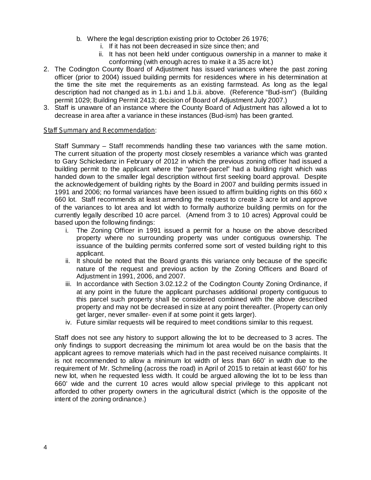- b. Where the legal description existing prior to October 26 1976;
	- i. If it has not been decreased in size since then; and
	- ii. It has not been held under contiguous ownership in a manner to make it conforming (with enough acres to make it a 35 acre lot.)
- 2. The Codington County Board of Adjustment has issued variances where the past zoning officer (prior to 2004) issued building permits for residences where in his determination at the time the site met the requirements as an existing farmstead. As long as the legal description had not changed as in 1.b.i and 1.b.ii. above. (Reference "Bud-ism") (Building permit 1029; Building Permit 2413; decision of Board of Adjustment July 2007.)
- 3. Staff is unaware of an instance where the County Board of Adjustment has allowed a lot to decrease in area after a variance in these instances (Bud-ism) has been granted.

#### : *Staff Summary and Recommendation*

Staff Summary – Staff recommends handling these two variances with the same motion. The current situation of the property most closely resembles a variance which was granted to Gary Schickedanz in February of 2012 in which the previous zoning officer had issued a building permit to the applicant where the "parent-parcel" had a building right which was handed down to the smaller legal description without first seeking board approval. Despite the acknowledgement of building rights by the Board in 2007 and building permits issued in 1991 and 2006; no formal variances have been issued to affirm building rights on this 660 x 660 lot. Staff recommends at least amending the request to create 3 acre lot and approve of the variances to lot area and lot width to formally authorize building permits on for the currently legally described 10 acre parcel. (Amend from 3 to 10 acres) Approval could be based upon the following findings:

- i. The Zoning Officer in 1991 issued a permit for a house on the above described property where no surrounding property was under contiguous ownership. The issuance of the building permits conferred some sort of vested building right to this applicant.
- ii. It should be noted that the Board grants this variance only because of the specific nature of the request and previous action by the Zoning Officers and Board of Adjustment in 1991, 2006, and 2007.
- iii. In accordance with Section 3.02.12.2 of the Codington County Zoning Ordinance, if at any point in the future the applicant purchases additional property contiguous to this parcel such property shall be considered combined with the above described property and may not be decreased in size at any point thereafter. (Property can only get larger, never smaller- even if at some point it gets larger).
- iv. Future similar requests will be required to meet conditions similar to this request.

Staff does not see any history to support allowing the lot to be decreased to 3 acres. The only findings to support decreasing the minimum lot area would be on the basis that the applicant agrees to remove materials which had in the past received nuisance complaints. It is not recommended to allow a minimum lot width of less than 660' in width due to the requirement of Mr. Schmeling (across the road) in April of 2015 to retain at least 660' for his new lot, when he requested less width. It could be argued allowing the lot to be less than 660' wide and the current 10 acres would allow special privilege to this applicant not afforded to other property owners in the agricultural district (which is the opposite of the intent of the zoning ordinance.)